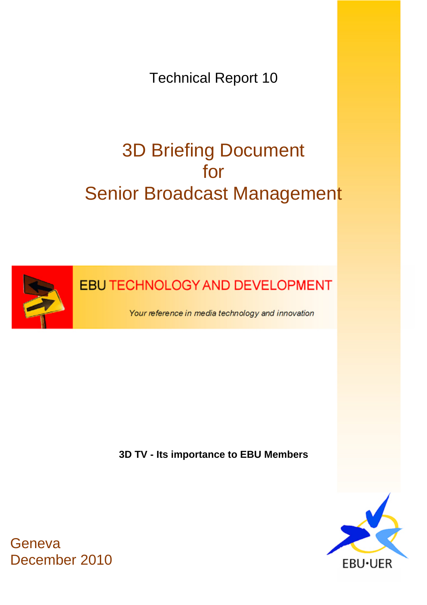Technical Report 10

# 3D Briefing Document for Senior Broadcast Management



**EBU TECHNOLOGY AND DEVELOPMENT** 

Your reference in media technology and innovation

**3D TV - Its importance to EBU Members** 



**Geneva** December 2010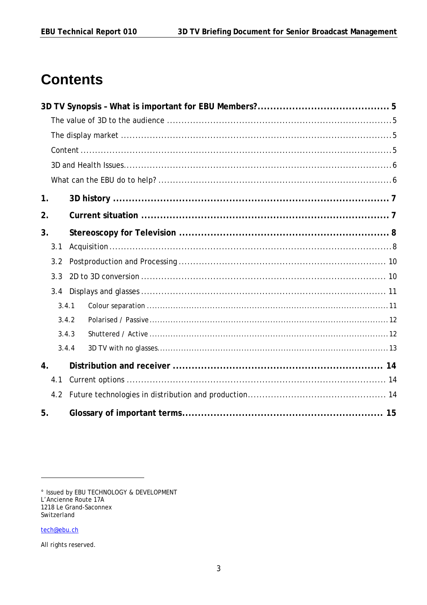# **Contents**

| 1.                 |       |  |  |  |  |
|--------------------|-------|--|--|--|--|
| 2.                 |       |  |  |  |  |
| 3.                 |       |  |  |  |  |
| 3.1                |       |  |  |  |  |
| 3.2                |       |  |  |  |  |
| 3.3                |       |  |  |  |  |
| 3.4                |       |  |  |  |  |
|                    | 3.4.1 |  |  |  |  |
|                    | 3.4.2 |  |  |  |  |
|                    | 3.4.3 |  |  |  |  |
|                    | 3.4.4 |  |  |  |  |
| $\boldsymbol{4}$ . |       |  |  |  |  |
| 4.1                |       |  |  |  |  |
| 4.2                |       |  |  |  |  |
| 5.                 |       |  |  |  |  |

<sup>°</sup> Issued by EBU TECHNOLOGY & DEVELOPMENT<br>L'Ancienne Route 17A 1218 Le Grand-Saconnex Switzerland

tech@ebu.ch

All rights reserved.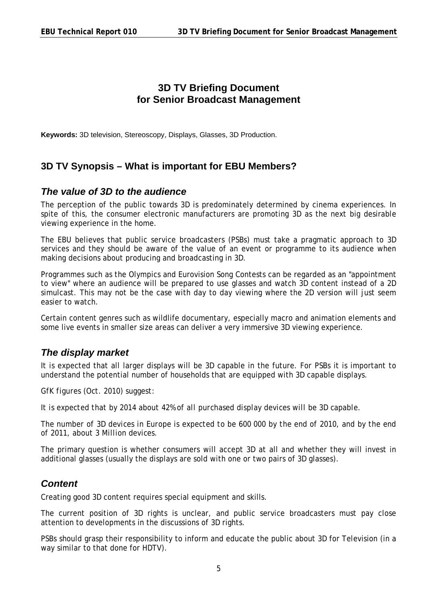# **3D TV Briefing Document for Senior Broadcast Management**

**Keywords:** 3D television, Stereoscopy, Displays, Glasses, 3D Production.

#### <span id="page-4-0"></span>**3D TV Synopsis – What is important for EBU Members?**

#### <span id="page-4-1"></span>*The value of 3D to the audience*

The perception of the public towards 3D is predominately determined by cinema experiences. In spite of this, the consumer electronic manufacturers are promoting 3D as the next big desirable viewing experience in the home.

The EBU believes that public service broadcasters (PSBs) must take a pragmatic approach to 3D services and they should be aware of the value of an event or programme to its audience when making decisions about producing and broadcasting in 3D.

Programmes such as the Olympics and Eurovision Song Contests can be regarded as an "appointment to view" where an audience will be prepared to use glasses and watch 3D content instead of a 2D simulcast. This may not be the case with day to day viewing where the 2D version will just seem easier to watch.

Certain content genres such as wildlife documentary, especially macro and animation elements and some live events in smaller size areas can deliver a very immersive 3D viewing experience.

#### <span id="page-4-2"></span>*The display market*

It is expected that all larger displays will be 3D capable in the future. For PSBs it is important to understand the potential number of households that are equipped with 3D capable displays.

*GfK figures (Oct. 2010) suggest:* 

*It is expected that by 2014 about 42% of all purchased display devices will be 3D capable.* 

*The number of 3D devices in Europe is expected to be 600 000 by the end of 2010, and by the end of 2011, about 3 Million devices.* 

The primary question is whether consumers will accept 3D at all and whether they will invest in additional glasses (usually the displays are sold with one or two pairs of 3D glasses).

#### <span id="page-4-3"></span>*Content*

Creating good 3D content requires special equipment and skills.

The current position of 3D rights is unclear, and public service broadcasters must pay close attention to developments in the discussions of 3D rights.

PSBs should grasp their responsibility to inform and educate the public about 3D for Television (in a way similar to that done for HDTV).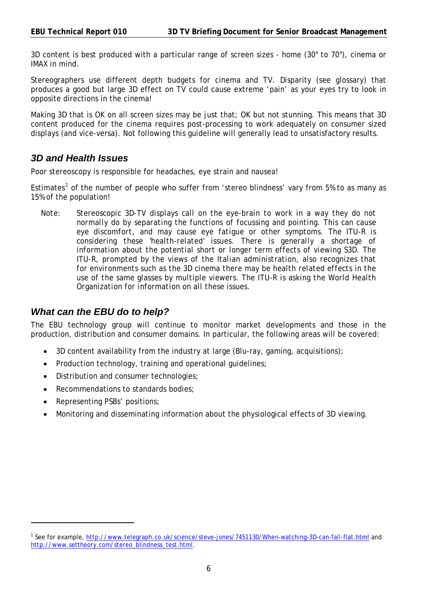3D content is best produced with a particular range of screen sizes - home (30" to 70"), cinema or IMAX in mind.

Stereographers use different depth budgets for cinema and TV. Disparity (see glossary) that produces a good but large 3D effect on TV could cause extreme 'pain' as your eyes try to look in opposite directions in the cinema!

Making 3D that is OK on all screen sizes may be just that; OK but not stunning. This means that 3D content produced for the cinema requires post-processing to work adequately on consumer sized displays (and vice-versa). Not following this guideline will generally lead to unsatisfactory results.

#### <span id="page-5-0"></span>*3D and Health Issues*

Poor stereoscopy *is* responsible for headaches, eye strain and nausea!

Estimates<sup>1</sup> of the number of people who suffer from 'stereo blindness' vary from 5% to as many as 15% of the population!

*Note: Stereoscopic 3D-TV displays call on the eye-brain to work in a way they do not normally do by separating the functions of focussing and pointing. This can cause eye discomfort, and may cause eye fatigue or other symptoms. The ITU-R is considering these 'health-related' issues. There is generally a shortage of information about the potential short or longer term effects of viewing S3D. The ITU-R, prompted by the views of the Italian administration, also recognizes that for environments such as the 3D cinema there may be health related effects in the use of the same glasses by multiple viewers. The ITU-R is asking the World Health Organization for information on all these issues.* 

#### <span id="page-5-1"></span>*What can the EBU do to help?*

The EBU technology group will continue to monitor market developments and those in the production, distribution and consumer domains. In particular, the following areas will be covered:

- 3D content availability from the industry at large (Blu-ray, gaming, acquisitions);
- Production technology, training and operational quidelines;
- Distribution and consumer technologies;
- Recommendations to standards bodies:
- Representing PSBs' positions;

 $\overline{a}$ 

Monitoring and disseminating information about the physiological effects of 3D viewing.

<sup>&</sup>lt;sup>1</sup> See for example,<http://www.telegraph.co.uk/science/steve-jones/7451130/When-watching-3D-can-fall-flat.html>and [http://www.settheory.com/stereo\\_blindness\\_test.html.](http://www.settheory.com/stereo_blindness_test.html)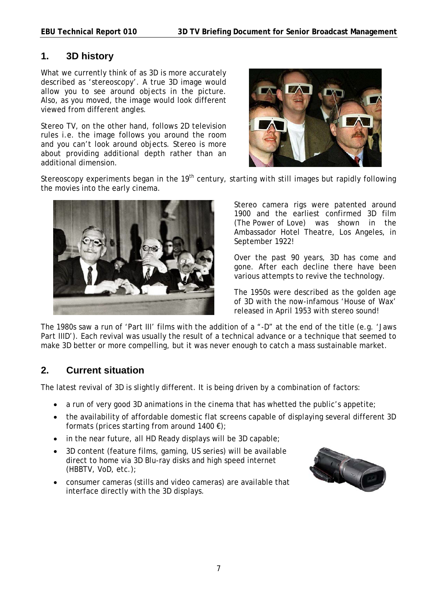#### <span id="page-6-0"></span>**1. 3D history**

What we currently think of as 3D is more accurately described as 'stereoscopy'. A true 3D image would allow you to see around objects in the picture. Also, as you moved, the image would look different viewed from different angles.

Stereo TV, on the other hand, follows 2D television rules i.e. the image follows you around the room and you can't look around objects. Stereo is more about providing additional depth rather than an additional dimension.



Stereoscopy experiments began in the 19<sup>th</sup> century, starting with still images but rapidly following the movies into the early cinema.



Stereo camera rigs were patented around 1900 and the earliest confirmed 3D film (*The Power of Love*) was shown in the Ambassador Hotel Theatre, Los Angeles, in September 1922!

Over the past 90 years, 3D has come and gone. After each decline there have been various attempts to revive the technology.

The 1950s were described as the golden age of 3D with the now-infamous '*House of Wax*' released in April 1953 with stereo sound!

The 1980s saw a run of 'Part III' films with the addition of a "-D" at the end of the title (e.g. '*Jaws*  Part IIID'). Each revival was usually the result of a technical advance or a technique that seemed to make 3D better or more compelling, but it was never enough to catch a mass sustainable market.

# <span id="page-6-1"></span>**2. Current situation**

The latest revival of 3D is slightly different. It is being driven by a combination of factors:

- a run of very good 3D animations in the cinema that has whetted the public's appetite;
- the availability of affordable domestic flat screens capable of displaying several different 3D formats (prices starting from around 1400  $\varepsilon$ );
- in the near future, all HD Ready displays will be 3D capable;
- 3D content (feature films, gaming, US series) will be available direct to home via 3D Blu-ray disks and high speed internet (HBBTV, VoD, etc.);
- consumer cameras (stills and video cameras) are available that interface directly with the 3D displays.

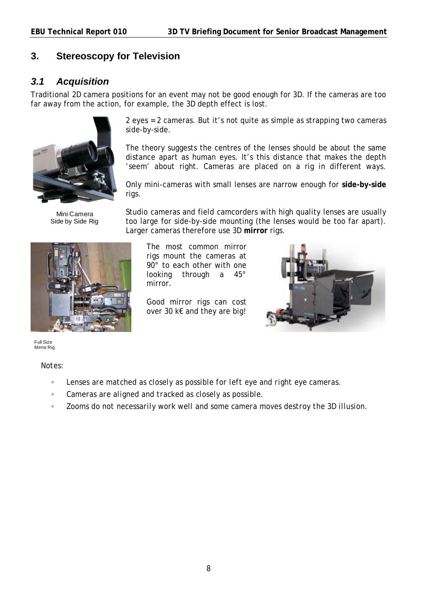### <span id="page-7-0"></span>**3. Stereoscopy for Television**

#### <span id="page-7-1"></span>*3.1 Acquisition*

Traditional 2D camera positions for an event may not be good enough for 3D. If the cameras are too far away from the action, for example, the 3D depth effect is lost.



Mini Camera Side by Side Rig



2 eyes = 2 cameras. But it's not quite as simple as strapping two cameras side-by-side.

The theory suggests the centres of the lenses should be about the same distance apart as human eyes. It's this distance that makes the depth 'seem' about right. Cameras are placed on a rig in different ways.

Only mini-cameras with small lenses are narrow enough for **side-by-side** rigs.

Studio cameras and field camcorders with high quality lenses are usually too large for side-by-side mounting (the lenses would be too far apart). Larger cameras therefore use 3D **mirror** rigs.

The most common mirror rigs mount the cameras at 90° to each other with one looking through a 45° mirror.

Good mirror rigs can cost over 30 k€ and they are big!



Full Size Mirror Rig

*Notes:* 

- *Lenses are matched as closely as possible for left eye and right eye cameras.*
- *Cameras are aligned and tracked as closely as possible.*
- *Zooms do not necessarily work well and some camera moves destroy the 3D illusion.*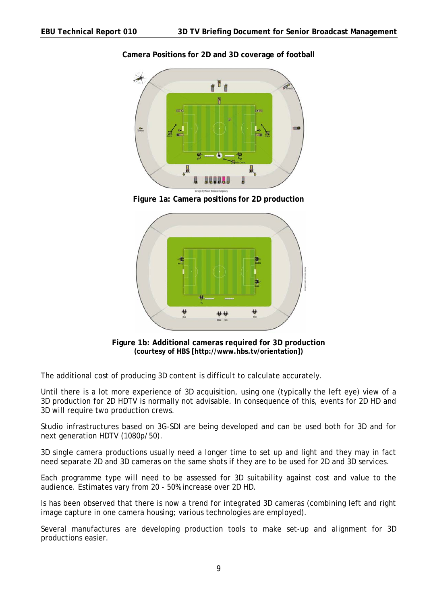

#### **Camera Positions for 2D and 3D coverage of football**

**Figure 1a: Camera positions for 2D production** 



**Figure 1b: Additional cameras required for 3D production (courtesy of HBS [http://www.hbs.tv/orientation])**

The additional cost of producing 3D content is difficult to calculate accurately.

Until there is a lot more experience of 3D acquisition, using one (typically the left eye) view of a 3D production for 2D HDTV is normally not advisable. In consequence of this, events for 2D HD and 3D will require two production crews.

Studio infrastructures based on 3G-SDI are being developed and can be used both for 3D and for next generation HDTV (1080p/50).

3D single camera productions usually need a longer time to set up and light and they may in fact need separate 2D and 3D cameras on the same shots if they are to be used for 2D and 3D services.

Each programme type will need to be assessed for 3D suitability against cost and value to the audience. Estimates vary from 20 - 50% increase over 2D HD.

Is has been observed that there is now a trend for integrated 3D cameras (combining left and right image capture in one camera housing; various technologies are employed).

Several manufactures are developing production tools to make set-up and alignment for 3D productions easier.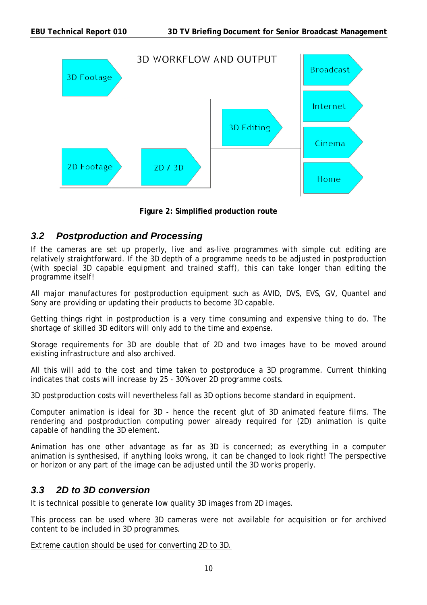

**Figure 2: Simplified production route** 

# <span id="page-9-0"></span>*3.2 Postproduction and Processing*

If the cameras are set up properly, live and as-live programmes with simple cut editing are relatively straightforward. If the 3D depth of a programme needs to be adjusted in postproduction (with special 3D capable equipment and trained staff), this can take longer than editing the programme itself!

All major manufactures for postproduction equipment such as AVID, DVS, EVS, GV, Quantel and Sony are providing or updating their products to become 3D capable.

Getting things right in postproduction is a very time consuming and expensive thing to do. The shortage of skilled 3D editors will only add to the time and expense.

Storage requirements for 3D are double that of 2D and two images have to be moved around existing infrastructure and also archived.

All this will add to the cost and time taken to postproduce a 3D programme. Current thinking indicates that costs will increase by 25 - 30% over 2D programme costs.

3D postproduction costs will nevertheless fall as 3D options become standard in equipment.

Computer animation is ideal for 3D - hence the recent glut of 3D animated feature films. The rendering and postproduction computing power already required for (2D) animation is quite capable of handling the 3D element.

Animation has one other advantage as far as 3D is concerned; as everything in a computer animation is synthesised, if anything looks wrong, it can be changed to look right! The perspective or horizon or any part of the image can be adjusted until the 3D works properly.

#### <span id="page-9-1"></span>*3.3 2D to 3D conversion*

It is technical possible to generate low quality 3D images from 2D images.

This process can be used where 3D cameras were not available for acquisition or for archived content to be included in 3D programmes.

Extreme caution should be used for converting 2D to 3D.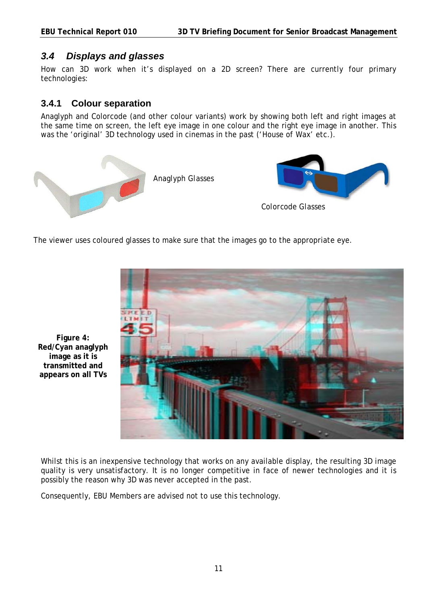#### <span id="page-10-0"></span>*3.4 Displays and glasses*

How can 3D work when it's displayed on a 2D screen? There are currently four primary technologies:

#### <span id="page-10-1"></span>**3.4.1 Colour separation**

Anaglyph and Colorcode (and other colour variants) work by showing both left and right images at the same time on screen, the left eye image in one colour and the right eye image in another. This was the 'original' 3D technology used in cinemas in the past ('*House of Wax*' etc.).



The viewer uses coloured glasses to make sure that the images go to the appropriate eye.



**Figure 4: Red/Cyan anaglyph image as it is transmitted and appears on all TVs** 

Whilst this is an inexpensive technology that works on any available display, the resulting 3D image quality is very unsatisfactory. It is no longer competitive in face of newer technologies and it is possibly the reason why 3D was never accepted in the past.

Consequently, EBU Members are advised not to use this technology.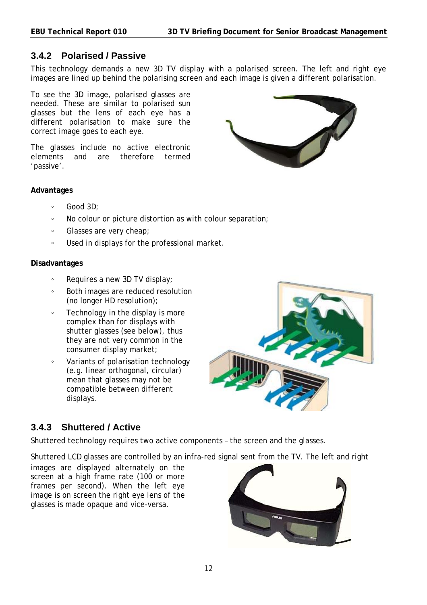#### <span id="page-11-0"></span>**3.4.2 Polarised / Passive**

This technology demands a new 3D TV display with a polarised screen. The left and right eye images are lined up behind the polarising screen and each image is given a different polarisation.

To see the 3D image, polarised glasses are needed. These are similar to polarised sun glasses but the lens of each eye has a different polarisation to make sure the correct image goes to each eye.

The glasses include no active electronic elements and are therefore termed 'passive'.



#### **Advantages**

- Good 3D;
- No colour or picture distortion as with colour separation;
- Glasses are very cheap;
- Used in displays for the professional market.

#### **Disadvantages**

- Requires a new 3D TV display;
- Both images are reduced resolution (no longer HD resolution);
- Technology in the display is more complex than for displays with shutter glasses (see below), thus they are not very common in the consumer display market;
- Variants of polarisation technology (e.g. linear orthogonal, circular) mean that glasses may not be compatible between different displays.



# <span id="page-11-1"></span>**3.4.3 Shuttered / Active**

Shuttered technology requires two active components – the screen and the glasses.

Shuttered LCD glasses are controlled by an infra-red signal sent from the TV. The left and right

images are displayed alternately on the screen at a high frame rate (100 or more frames per second). When the left eye image is on screen the right eye lens of the glasses is made opaque and vice-versa.

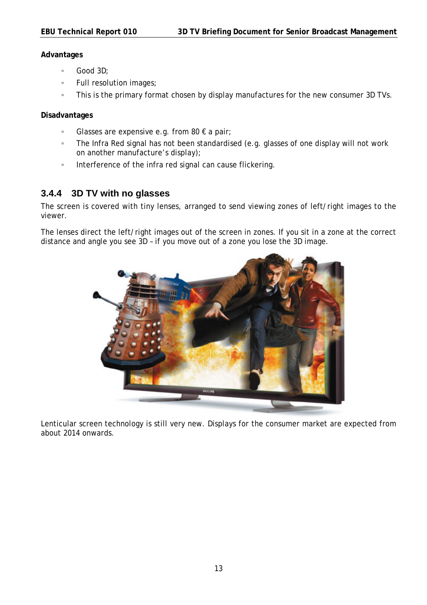#### **Advantages**

- Good 3D;
- Full resolution images;
- This is the primary format chosen by display manufactures for the new consumer 3D TVs.

#### **Disadvantages**

- Glasses are expensive e.g. from 80 € a pair;
- The Infra Red signal has not been standardised (e.g. glasses of one display will not work on another manufacture's display);
- Interference of the infra red signal can cause flickering.

#### <span id="page-12-0"></span>**3.4.4 3D TV with no glasses**

The screen is covered with tiny lenses, arranged to send viewing zones of left/right images to the viewer.

The lenses direct the left/right images out of the screen in zones. If you sit in a zone at the correct distance and angle you see 3D – if you move out of a zone you lose the 3D image.



Lenticular screen technology is still very new. Displays for the consumer market are expected from about 2014 onwards.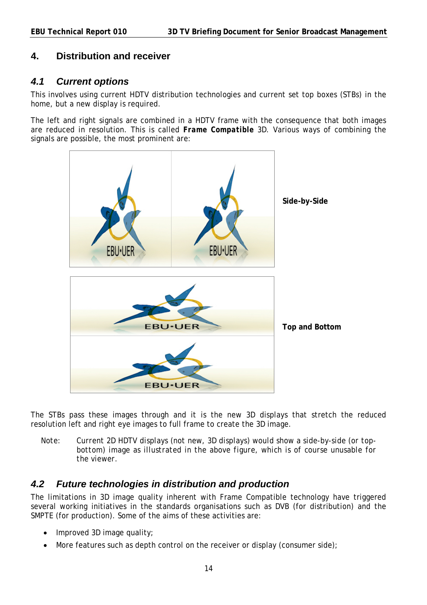#### <span id="page-13-0"></span>**4. Distribution and receiver**

#### <span id="page-13-1"></span>*4.1 Current options*

This involves using current HDTV distribution technologies and current set top boxes (STBs) in the home, but a new display is required.

The left and right signals are combined in a HDTV frame with the consequence that both images are reduced in resolution. This is called *Frame Compatible* 3D. Various ways of combining the signals are possible, the most prominent are:



The STBs pass these images through and it is the new 3D displays that stretch the reduced resolution left and right eye images to full frame to create the 3D image.

*Note: Current 2D HDTV displays (not new, 3D displays) would show a side-by-side (or topbottom) image as illustrated in the above figure, which is of course unusable for the viewer.* 

#### <span id="page-13-2"></span>*4.2 Future technologies in distribution and production*

The limitations in 3D image quality inherent with Frame Compatible technology have triggered several working initiatives in the standards organisations such as DVB (for distribution) and the SMPTE (for production). Some of the aims of these activities are:

- Improved 3D image quality;
- $\bullet$  More features such as depth control on the receiver or display (consumer side);